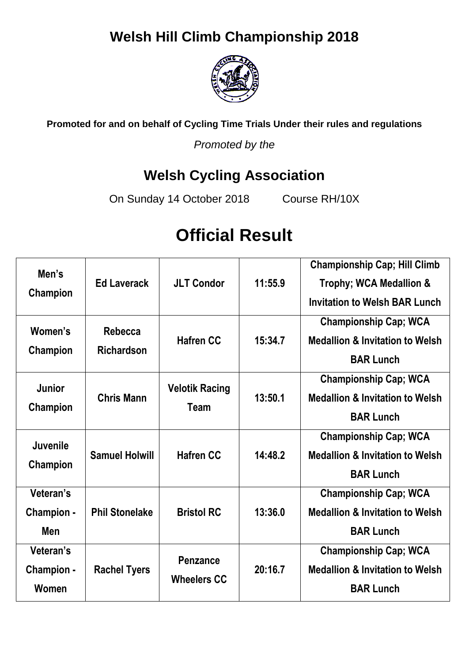# **Welsh Hill Climb Championship 2018**



**Promoted for and on behalf of Cycling Time Trials Under their rules and regulations**

*Promoted by the*

# **Welsh Cycling Association**

On Sunday 14 October 2018 Course RH/10X

# **Official Result**

| Men's<br>Champion                     | <b>Ed Laverack</b>           | <b>JLT Condor</b>                     | 11:55.9 | <b>Championship Cap; Hill Climb</b><br>Trophy; WCA Medallion &<br><b>Invitation to Welsh BAR Lunch</b> |
|---------------------------------------|------------------------------|---------------------------------------|---------|--------------------------------------------------------------------------------------------------------|
| Women's<br>Champion                   | Rebecca<br><b>Richardson</b> | <b>Hafren CC</b>                      | 15:34.7 | <b>Championship Cap; WCA</b><br><b>Medallion &amp; Invitation to Welsh</b><br><b>BAR Lunch</b>         |
| <b>Junior</b><br>Champion             | <b>Chris Mann</b>            | <b>Velotik Racing</b><br>Team         | 13:50.1 | <b>Championship Cap; WCA</b><br><b>Medallion &amp; Invitation to Welsh</b><br><b>BAR Lunch</b>         |
| Juvenile<br>Champion                  | <b>Samuel Holwill</b>        | <b>Hafren CC</b>                      | 14:48.2 | <b>Championship Cap; WCA</b><br><b>Medallion &amp; Invitation to Welsh</b><br><b>BAR Lunch</b>         |
| Veteran's<br>Champion -<br><b>Men</b> | <b>Phil Stonelake</b>        | <b>Bristol RC</b>                     | 13:36.0 | <b>Championship Cap; WCA</b><br><b>Medallion &amp; Invitation to Welsh</b><br><b>BAR Lunch</b>         |
| Veteran's<br>Champion -<br>Women      | <b>Rachel Tyers</b>          | <b>Penzance</b><br><b>Wheelers CC</b> | 20:16.7 | <b>Championship Cap; WCA</b><br><b>Medallion &amp; Invitation to Welsh</b><br><b>BAR Lunch</b>         |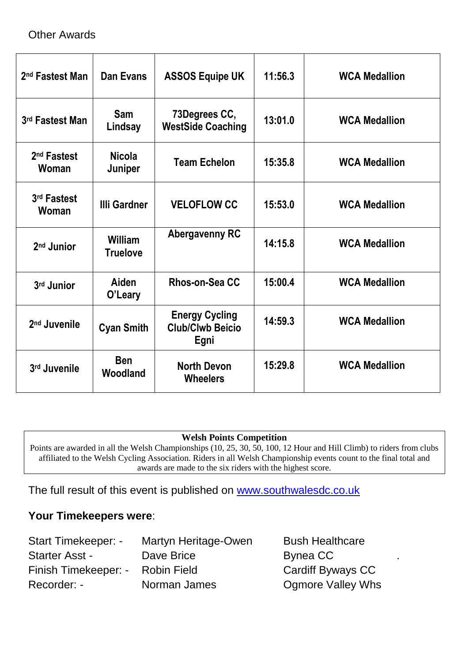# Other Awards

| 2 <sup>nd</sup> Fastest Man      | Dan Evans                  | <b>ASSOS Equipe UK</b>                                   | 11:56.3 | <b>WCA Medallion</b> |
|----------------------------------|----------------------------|----------------------------------------------------------|---------|----------------------|
| 3rd Fastest Man                  | <b>Sam</b><br>Lindsay      | 73Degrees CC,<br><b>WestSide Coaching</b>                | 13:01.0 | <b>WCA Medallion</b> |
| 2 <sup>nd</sup> Fastest<br>Woman | <b>Nicola</b><br>Juniper   | <b>Team Echelon</b>                                      | 15:35.8 | <b>WCA Medallion</b> |
| 3rd Fastest<br>Woman             | <b>Illi Gardner</b>        | <b>VELOFLOW CC</b>                                       | 15:53.0 | <b>WCA Medallion</b> |
| 2 <sup>nd</sup> Junior           | William<br><b>Truelove</b> | <b>Abergavenny RC</b>                                    | 14:15.8 | <b>WCA Medallion</b> |
| 3rd Junior                       | Aiden<br>O'Leary           | Rhos-on-Sea CC                                           | 15:00.4 | <b>WCA Medallion</b> |
| 2 <sup>nd</sup> Juvenile         | <b>Cyan Smith</b>          | <b>Energy Cycling</b><br><b>Club/Clwb Beicio</b><br>Egni | 14:59.3 | <b>WCA Medallion</b> |
| 3rd Juvenile                     | <b>Ben</b><br>Woodland     | <b>North Devon</b><br><b>Wheelers</b>                    | 15:29.8 | <b>WCA Medallion</b> |

#### **Welsh Points Competition**

Points are awarded in all the Welsh Championships (10, 25, 30, 50, 100, 12 Hour and Hill Climb) to riders from clubs affiliated to the Welsh Cycling Association. Riders in all Welsh Championship events count to the final total and awards are made to the six riders with the highest score.

The full result of this event is published on [www.southwalesdc.co.uk](file:///G:/WCA%20Promotions%202012/WCA%2025/www.southwalesdc.co.uk)

## **Your Timekeepers were**:

| <b>Start Timekeeper: -</b>       | Martyn Heritage-Owen | <b>Bush Healthcare</b>   |  |
|----------------------------------|----------------------|--------------------------|--|
| <b>Starter Asst -</b>            | Dave Brice           | Bynea CC                 |  |
| Finish Timekeeper: - Robin Field |                      | Cardiff Byways CC        |  |
| Recorder: -                      | Norman James         | <b>Ogmore Valley Whs</b> |  |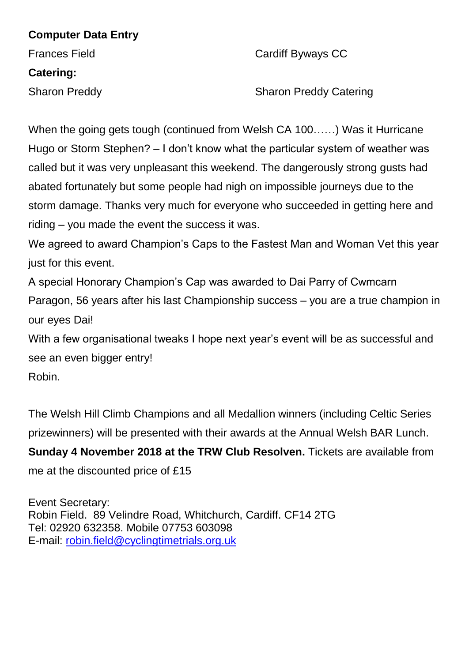## **Computer Data Entry**

# **Catering:**

Frances Field **Cardiff Byways CC** 

Sharon Preddy Sharon Preddy Catering

When the going gets tough (continued from Welsh CA 100……) Was it Hurricane Hugo or Storm Stephen? – I don't know what the particular system of weather was called but it was very unpleasant this weekend. The dangerously strong gusts had abated fortunately but some people had nigh on impossible journeys due to the storm damage. Thanks very much for everyone who succeeded in getting here and riding – you made the event the success it was.

We agreed to award Champion's Caps to the Fastest Man and Woman Vet this year just for this event.

A special Honorary Champion's Cap was awarded to Dai Parry of Cwmcarn

Paragon, 56 years after his last Championship success – you are a true champion in our eyes Dai!

With a few organisational tweaks I hope next year's event will be as successful and see an even bigger entry!

Robin.

The Welsh Hill Climb Champions and all Medallion winners (including Celtic Series prizewinners) will be presented with their awards at the Annual Welsh BAR Lunch.

**Sunday 4 November 2018 at the TRW Club Resolven.** Tickets are available from me at the discounted price of £15

Event Secretary: Robin Field. 89 Velindre Road, Whitchurch, Cardiff. CF14 2TG Tel: 02920 632358. Mobile 07753 603098 E-mail: [robin.field@cyclingtimetrials.org.uk](mailto:robin.field@cyclingtimetrials.org.uk)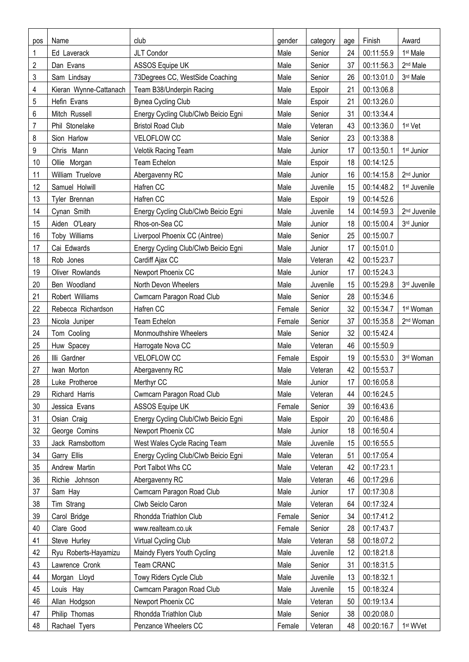| pos | Name                   | club                                 | gender | category | age              | Finish     | Award                    |
|-----|------------------------|--------------------------------------|--------|----------|------------------|------------|--------------------------|
| 1   | Ed Laverack            | JLT Condor                           | Male   | Senior   | 24               | 00:11:55.9 | 1 <sup>st</sup> Male     |
| 2   | Dan Evans              | ASSOS Equipe UK                      | Male   | Senior   | 37               | 00:11:56.3 | 2 <sup>nd</sup> Male     |
| 3   | Sam Lindsay            | 73Degrees CC, WestSide Coaching      | Male   | Senior   | 26               | 00:13:01.0 | 3rd Male                 |
| 4   | Kieran Wynne-Cattanach | Team B38/Underpin Racing             | Male   | Espoir   | 21               | 00:13:06.8 |                          |
| 5   | Hefin Evans            | <b>Bynea Cycling Club</b>            | Male   | Espoir   | 21               | 00:13:26.0 |                          |
| 6   | Mitch Russell          | Energy Cycling Club/Clwb Beicio Egni | Male   | Senior   | 31               | 00:13:34.4 |                          |
| 7   | Phil Stonelake         | <b>Bristol Road Club</b>             | Male   | Veteran  | 43               | 00:13:36.0 | 1 <sup>st</sup> Vet      |
| 8   | Sion Harlow            | VELOFLOW CC                          | Male   | Senior   | 23               | 00:13:38.8 |                          |
| 9   | Chris Mann             | Velotik Racing Team                  | Male   | Junior   | 17               | 00:13:50.1 | 1 <sup>st</sup> Junior   |
| 10  | Ollie Morgan           | <b>Team Echelon</b>                  | Male   | Espoir   | 18               | 00:14:12.5 |                          |
| 11  | William Truelove       | Abergavenny RC                       | Male   | Junior   | 16               | 00:14:15.8 | 2 <sup>nd</sup> Junior   |
| 12  | Samuel Holwill         | Hafren CC                            | Male   | Juvenile | 15               | 00:14:48.2 | 1 <sup>st</sup> Juvenile |
| 13  | Tyler Brennan          | Hafren CC                            | Male   | Espoir   | 19               | 00:14:52.6 |                          |
| 14  | Cynan Smith            | Energy Cycling Club/Clwb Beicio Egni | Male   | Juvenile | 14               | 00:14:59.3 | 2 <sup>nd</sup> Juvenile |
| 15  | Aiden O'Leary          | Rhos-on-Sea CC                       | Male   | Junior   | 18               | 00:15:00.4 | 3rd Junior               |
| 16  | Toby Williams          | Liverpool Phoenix CC (Aintree)       | Male   | Senior   | 25               | 00:15:00.7 |                          |
| 17  | Cai Edwards            | Energy Cycling Club/Clwb Beicio Egni | Male   | Junior   | 17               | 00:15:01.0 |                          |
| 18  | Rob Jones              | Cardiff Ajax CC                      | Male   | Veteran  | 42               | 00:15:23.7 |                          |
| 19  | Oliver Rowlands        | Newport Phoenix CC                   | Male   | Junior   | 17               | 00:15:24.3 |                          |
| 20  | Ben Woodland           | North Devon Wheelers                 | Male   | Juvenile | 15               | 00:15:29.8 | 3rd Juvenile             |
| 21  | Robert Williams        | Cwmcarn Paragon Road Club            | Male   | Senior   | 28               | 00:15:34.6 |                          |
| 22  | Rebecca Richardson     | Hafren CC                            | Female | Senior   | 32               | 00:15:34.7 | 1st Woman                |
| 23  | Nicola Juniper         | <b>Team Echelon</b>                  | Female | Senior   | 37               | 00:15:35.8 | 2 <sup>nd</sup> Woman    |
| 24  | Tom Cooling            | Monmouthshire Wheelers               | Male   | Senior   | 32               | 00:15:42.4 |                          |
| 25  | Huw Spacey             | Harrogate Nova CC                    | Male   | Veteran  | 46               | 00:15:50.9 |                          |
| 26  | Illi Gardner           | VELOFLOW CC                          | Female | Espoir   | 19               | 00:15:53.0 | 3rd Woman                |
| 27  | Iwan Morton            | Abergavenny RC                       | Male   | Veteran  | 42               | 00:15:53.7 |                          |
| 28  | Luke Protheroe         | Merthyr CC                           | Male   | Junior   | 17 <sup>17</sup> | 00:16:05.8 |                          |
| 29  | Richard Harris         | Cwmcarn Paragon Road Club            | Male   | Veteran  | 44               | 00:16:24.5 |                          |
| 30  | Jessica Evans          | ASSOS Equipe UK                      | Female | Senior   | 39               | 00:16:43.6 |                          |
| 31  | Osian Craig            | Energy Cycling Club/Clwb Beicio Egni | Male   | Espoir   | 20               | 00:16:48.6 |                          |
| 32  | George Comins          | Newport Phoenix CC                   | Male   | Junior   | 18               | 00:16:50.4 |                          |
| 33  | Jack Ramsbottom        | West Wales Cycle Racing Team         | Male   | Juvenile | 15               | 00:16:55.5 |                          |
| 34  | Garry Ellis            | Energy Cycling Club/Clwb Beicio Egni | Male   | Veteran  | 51               | 00:17:05.4 |                          |
| 35  | Andrew Martin          | Port Talbot Whs CC                   | Male   | Veteran  | 42               | 00:17:23.1 |                          |
| 36  | Richie Johnson         | Abergavenny RC                       | Male   | Veteran  | 46               | 00:17:29.6 |                          |
| 37  | Sam Hay                | Cwmcarn Paragon Road Club            | Male   | Junior   | 17               | 00:17:30.8 |                          |
| 38  | Tim Strang             | Clwb Seiclo Caron                    | Male   | Veteran  | 64               | 00:17:32.4 |                          |
| 39  | Carol Bridge           | Rhondda Triathlon Club               | Female | Senior   | 34               | 00:17:41.2 |                          |
| 40  | Clare Good             | www.realteam.co.uk                   | Female | Senior   | 28               | 00:17:43.7 |                          |
| 41  | Steve Hurley           | Virtual Cycling Club                 | Male   | Veteran  | 58               | 00:18:07.2 |                          |
| 42  | Ryu Roberts-Hayamizu   | Maindy Flyers Youth Cycling          | Male   | Juvenile | 12               | 00:18:21.8 |                          |
| 43  | Lawrence Cronk         | Team CRANC                           | Male   | Senior   | 31               | 00:18:31.5 |                          |
| 44  | Morgan Lloyd           | Towy Riders Cycle Club               | Male   | Juvenile | 13               | 00:18:32.1 |                          |
| 45  | Louis Hay              | Cwmcarn Paragon Road Club            | Male   | Juvenile | 15               | 00:18:32.4 |                          |
| 46  | Allan Hodgson          | Newport Phoenix CC                   | Male   | Veteran  | 50               | 00:19:13.4 |                          |
| 47  | Philip Thomas          | Rhondda Triathlon Club               | Male   | Senior   | 38               | 00:20:08.0 |                          |
| 48  | Rachael Tyers          | Penzance Wheelers CC                 | Female | Veteran  | 48               | 00:20:16.7 | 1 <sup>st</sup> WVet     |